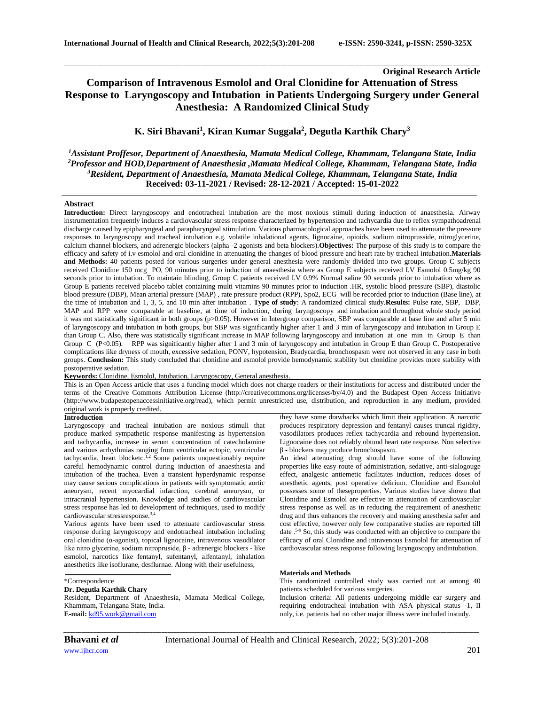# **Original Research Article Comparison of Intravenous Esmolol and Oral Clonidine for Attenuation of Stress Response to Laryngoscopy and Intubation in Patients Undergoing Surgery under General Anesthesia: A Randomized Clinical Study**

\_\_\_\_\_\_\_\_\_\_\_\_\_\_\_\_\_\_\_\_\_\_\_\_\_\_\_\_\_\_\_\_\_\_\_\_\_\_\_\_\_\_\_\_\_\_\_\_\_\_\_\_\_\_\_\_\_\_\_\_\_\_\_\_\_\_\_\_\_\_\_\_\_\_\_\_\_\_\_\_\_\_\_\_\_\_\_\_\_\_\_\_\_\_\_\_\_\_\_\_\_\_\_\_\_\_\_\_\_\_\_\_\_\_\_\_\_\_\_\_\_\_\_\_\_\_\_\_\_\_\_\_\_\_\_\_\_\_\_\_

# **K. Siri Bhavani<sup>1</sup> , Kiran Kumar Suggala<sup>2</sup> , Degutla Karthik Chary<sup>3</sup>**

*Assistant Proffesor, Department of Anaesthesia, Mamata Medical College, Khammam, Telangana State, India Professor and HOD,Department of Anaesthesia ,Mamata Medical College, Khammam, Telangana State, India Resident, Department of Anaesthesia, Mamata Medical College, Khammam, Telangana State, India* **Received: 03-11-2021 / Revised: 28-12-2021 / Accepted: 15-01-2022**

#### **Abstract**

**Introduction:** Direct laryngoscopy and endotracheal intubation are the most noxious stimuli during induction of anaesthesia. Airway instrumentation frequently induces a cardiovascular stress response characterized by hypertension and tachycardia due to reflex sympathoadrenal discharge caused by epipharyngeal and parapharyngeal stimulation. Various pharmacological approaches have been used to attenuate the pressure responses to laryngoscopy and tracheal intubation e.g. volatile inhalational agents, lignocaine, opioids, sodium nitroprusside, nitroglycerine, calcium channel blockers, and adrenergic blockers (alpha -2 agonists and beta blockers).**Objectives:** The purpose of this study is to compare the efficacy and safety of i.v esmolol and oral clonidine in attenuating the changes of blood pressure and heart rate by tracheal intubation.**Materials and Methods:** 40 patients posted for various surgeries under general anesthesia were randomly divided into two groups. Group C subjects received Clonidine 150 mcg PO, 90 minutes prior to induction of anaesthesia where as Group E subjects received I.V Esmolol 0.5mg/kg 90 seconds prior to intubation. To maintain blinding, Group C patients received I.V 0.9% Normal saline 90 seconds prior to intubation where as Group E patients received placebo tablet containing multi vitamins 90 minutes prior to induction .HR, systolic blood pressure (SBP), diastolic blood pressure (DBP), Mean arterial pressure (MAP) , rate pressure product (RPP), Spo2, ECG will be recorded prior to induction (Base line), at the time of intubation and 1, 3, 5, and 10 min after intubation . **Type of study**: A randomized clinical study.**Results:** Pulse rate, SBP, DBP, MAP and RPP were comparable at baseline, at time of induction, during laryngoscopy and intubation and throughout whole study period it was not statistically significant in both groups (p>0.05). However in Intergroup comparison, SBP was comparable at base line and after 5 min of laryngoscopy and intubation in both groups, but SBP was significantly higher after 1 and 3 min of laryngoscopy and intubation in Group E than Group C. Also, there was statistically significant increase in MAP following laryngoscopy and intubation at one min in Group E than Group C (P<0.05). RPP was significantly higher after 1 and 3 min of laryngoscopy and intubation in Group E than Group C. Postoperative complications like dryness of mouth, excessive sedation, PONV, hypotension, Bradycardia, bronchospasm were not observed in any case in both groups. **Conclusion:** This study concluded that clonidine and esmolol provide hemodynamic stability but clonidine provides more stability with postoperative sedation.

## **Keywords:** Clonidine, Esmolol, Intubation, Laryngoscopy, General anesthesia.

This is an Open Access article that uses a funding model which does not charge readers or their institutions for access and distributed under the terms of the Creative Commons Attribution License (http://creativecommons.org/licenses/by/4.0) and the Budapest Open Access Initiative (http://www.budapestopenaccessinitiative.org/read), which permit unrestricted use, distribution, and reproduction in any medium, provided original work is properly credited.

#### **Introduction**

Laryngoscopy and tracheal intubation are noxious stimuli that produce marked sympathetic response manifesting as hypertension and tachycardia, increase in serum concentration of catecholamine and various arrhythmias ranging from ventricular ectopic, ventricular tachycardia, heart blocketc.<sup>1,2</sup> Some patients unquestionably require careful hemodynamic control during induction of anaesthesia and intubation of the trachea. Even a transient hyperdynamic response may cause serious complications in patients with symptomatic aortic aneurysm, recent myocardial infarction, cerebral aneurysm, or intracranial hypertension. Knowledge and studies of cardiovascular stress response has led to development of techniques, used to modify cardiovascular stressresponse.3,4

Various agents have been used to attenuate cardiovascular stress response during laryngoscopy and endotracheal intubation including oral clonidine (α-agonist), topical lignocaine, intravenous vasodilator like nitro glycerine, sodium nitropruside, β - adrenergic blockers - like esmolol, narcotics like fentanyl, sufentanyl, alfentanyl, inhalation anesthetics like isoflurane, desflurnae. Along with their usefulness,

### \*Correspondence

# **Dr. Degutla Karthik Chary**

Resident, Department of Anaesthesia, Mamata Medical College, Khammam, Telangana State, India. **E-mail:** [kd95.work@gmail.com](mailto:KD95.WORK@GMAIL.COM)

they have some drawbacks which limit their application. A narcotic produces respiratory depression and fentanyl causes truncal rigidity, vasodilators produces reflex tachycardia and rebound hypertension. Lignocaine does not reliably obtund heart rate response. Non selective β - blockers may produce bronchospasm.

An ideal attenuating drug should have some of the following properties like easy route of administration, sedative, anti-sialogouge effect, analgesic antiemetic facilitates induction, reduces doses of anesthetic agents, post operative delirium. Clonidine and Esmolol possesses some of theseproperties. Various studies have shown that Clonidine and Esmolol are effective in attenuation of cardiovascular stress response as well as in reducing the requirement of anesthetic drug and thus enhances the recovery and making anesthesia safer and cost effective, however only few comparative studies are reported till date .5-9 So, this study was conducted with an objective to compare the efficacy of oral Clonidine and intravenous Esmolol for attenuation of cardiovascular stress response following laryngoscopy andintubation.

### **Materials and Methods**

This randomized controlled study was carried out at among 40 patients scheduled for various surgeries.

Inclusion criteria: All patients undergoing middle ear surgery and requiring endotracheal intubation with ASA physical status -1, II only, i.e. patients had no other major illness were included instudy.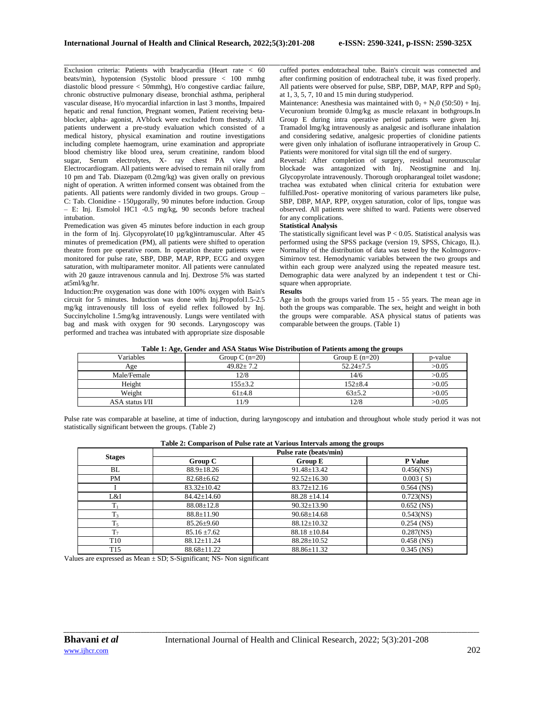Exclusion criteria: Patients with bradycardia (Heart rate < 60 beats/min), hypotension (Systolic blood pressure < 100 mmhg diastolic blood pressure < 50mmhg), H/o congestive cardiac failure, chronic obstructive pulmonary disease, bronchial asthma, peripheral vascular disease, H/o myocardial infarction in last 3 months, Impaired hepatic and renal function, Pregnant women, Patient receiving betablocker, alpha- agonist, AVblock were excluded from thestudy. All patients underwent a pre-study evaluation which consisted of a medical history, physical examination and routine investigations including complete haemogram, urine examination and appropriate blood chemistry like blood urea, serum creatinine, random blood sugar, Serum electrolytes, X- ray chest PA view and Electrocardiogram. All patients were advised to remain nil orally from 10 pm and Tab. Diazepam (0.2mg/kg) was given orally on previous night of operation. A written informed consent was obtained from the patients. All patients were randomly divided in two groups. Group – C: Tab. Clonidine - 150µgorally, 90 minutes before induction. Group – E: Inj. Esmolol HC1 -0.5 mg/kg, 90 seconds before tracheal intubation.

Premedication was given 45 minutes before induction in each group in the form of Inj. Glycopyrolate(10 µg/kg)intramuscular. After 45 minutes of premedication (PM), all patients were shifted to operation theatre from pre operative room. In operation theatre patients were monitored for pulse rate, SBP, DBP, MAP, RPP, ECG and oxygen saturation, with multiparameter monitor. All patients were cannulated with 20 gauze intravenous cannula and Inj. Dextrose 5% was started at5ml/kg/hr.

Induction:Pre oxygenation was done with 100% oxygen with Bain's circuit for 5 minutes. Induction was done with Inj.Propofol1.5-2.5 mg/kg intravenously till loss of eyelid reflex followed by Inj. Succinylcholine 1.5mg/kg intravenously. Lungs were ventilated with bag and mask with oxygen for 90 seconds. Laryngoscopy was performed and trachea was intubated with appropriate size disposable

\_\_\_\_\_\_\_\_\_\_\_\_\_\_\_\_\_\_\_\_\_\_\_\_\_\_\_\_\_\_\_\_\_\_\_\_\_\_\_\_\_\_\_\_\_\_\_\_\_\_\_\_\_\_\_\_\_\_\_\_\_\_\_\_\_\_\_\_\_\_\_\_\_\_\_\_\_\_\_\_\_\_\_\_\_\_\_\_\_\_\_\_\_\_\_\_\_\_\_\_\_\_\_\_\_\_\_\_\_\_\_\_\_\_\_\_\_\_\_\_\_\_\_\_\_\_\_\_\_\_\_\_\_\_\_\_\_\_\_\_ cuffed portex endotracheal tube. Bain's circuit was connected and after confirming position of endotracheal tube, it was fixed properly. All patients were observed for pulse, SBP, DBP, MAP, RPP and  $Sp0<sub>2</sub>$ at 1, 3, 5, 7, 10 and 15 min during studyperiod.

Maintenance: Anesthesia was maintained with  $0_2 + N_2 0$  (50:50) + Inj. Vecuronium bromide 0.lmg/kg as muscle relaxant in bothgroups.In Group E during intra operative period patients were given Inj. Tramadol lmg/kg intravenously as analgesic and isoflurane inhalation and considering sedative, analgesic properties of clonidine patients were given only inhalation of isoflurane intraoperatively in Group C. Patients were monitored for vital sign till the end of surgery.

Reversal: After completion of surgery, residual neuromuscular blockade was antagonized with Inj. Neostigmine and Inj. Glycopyrolate intravenously. Thorough oropharangeal toilet wasdone; trachea was extubated when clinical criteria for extubation were fulfilled.Post- operative monitoring of various parameters like pulse, SBP, DBP, MAP, RPP, oxygen saturation, color of lips, tongue was observed. All patients were shifted to ward. Patients were observed for any complications.

### **Statistical Analysis**

The statistically significant level was  $P < 0.05$ . Statistical analysis was performed using the SPSS package (version 19, SPSS, Chicago, IL). Normality of the distribution of data was tested by the Kolmogorov-Simirnov test. Hemodynamic variables between the two groups and within each group were analyzed using the repeated measure test. Demographic data were analyzed by an independent t test or Chisquare when appropriate.

#### **Results**

Age in both the groups varied from 15 - 55 years. The mean age in both the groups was comparable. The sex, height and weight in both the groups were comparable. ASA physical status of patients was comparable between the groups. (Table 1)

| Table 1. Age, Genuel and ASA Status Wise Distribution of Fattents among the groups |                  |                 |         |  |  |  |  |  |
|------------------------------------------------------------------------------------|------------------|-----------------|---------|--|--|--|--|--|
| <b>Variables</b>                                                                   | Group C $(n=20)$ | Group $E(n=20)$ | p-value |  |  |  |  |  |
| Age                                                                                | $49.82 + 7.2$    | $52.24 + 7.5$   | >0.05   |  |  |  |  |  |
| Male/Female                                                                        | 12/8             | 14/6            | >0.05   |  |  |  |  |  |
| Height                                                                             | $155 + 3.2$      | $152 + 8.4$     | >0.05   |  |  |  |  |  |
| Weight                                                                             | $61 + 4.8$       | $63 + 5.2$      | >0.05   |  |  |  |  |  |
| ASA status I/II                                                                    | 1/9              | 12/8            | >0.05   |  |  |  |  |  |

# **Table 1: Age, Gender and ASA Status Wise Distribution of Patients among the groups**

Pulse rate was comparable at baseline, at time of induction, during laryngoscopy and intubation and throughout whole study period it was not statistically significant between the groups. (Table 2)

|                 |                   | Pulse rate (beats/min) |                |
|-----------------|-------------------|------------------------|----------------|
| <b>Stages</b>   | Group C           | <b>Group E</b>         | <b>P</b> Value |
| BL              | $88.9 \pm 18.26$  | $91.48 \pm 13.42$      | $0.456$ (NS)   |
| PM              | $82.68 \pm 6.62$  | $92.52 \pm 16.30$      | 0.003(S)       |
|                 | $83.32 \pm 10.42$ | $83.72 \pm 12.16$      | $0.564$ (NS)   |
| L&I             | $84.42 \pm 14.60$ | $88.28 \pm 14.14$      | $0.723$ (NS)   |
| $T_1$           | $88.08 \pm 12.8$  | $90.32 \pm 13.90$      | $0.652$ (NS)   |
| $T_3$           | $88.8 \pm 11.90$  | $90.68 \pm 14.68$      | $0.543$ (NS)   |
| $T_5$           | $85.26 \pm 9.60$  | $88.12 \pm 10.32$      | $0.254$ (NS)   |
| $T_7$           | $85.16 \pm 7.62$  | $88.18 \pm 10.84$      | $0.287$ (NS)   |
| T <sub>10</sub> | $88.12 \pm 11.24$ | $88.28 \pm 10.52$      | $0.458$ (NS)   |
| T <sub>15</sub> | $88.68 \pm 11.22$ | 88.86±11.32            | $0.345$ (NS)   |

*\_\_\_\_\_\_\_\_\_\_\_\_\_\_\_\_\_\_\_\_\_\_\_\_\_\_\_\_\_\_\_\_\_\_\_\_\_\_\_\_\_\_\_\_\_\_\_\_\_\_\_\_\_\_\_\_\_\_\_\_\_\_\_\_\_\_\_\_\_\_\_\_\_\_\_\_\_\_\_\_\_\_\_\_\_\_\_\_\_\_\_\_\_\_\_\_\_\_\_\_\_\_\_\_\_\_\_\_\_\_\_\_\_\_\_\_\_\_\_\_\_\_\_\_\_\_\_\_\_\_\_\_\_\_\_\_\_\_\_\_*

# **Table 2: Comparison of Pulse rate at Various Intervals among the groups**

Values are expressed as Mean  $\pm$  SD; S-Significant; NS- Non significant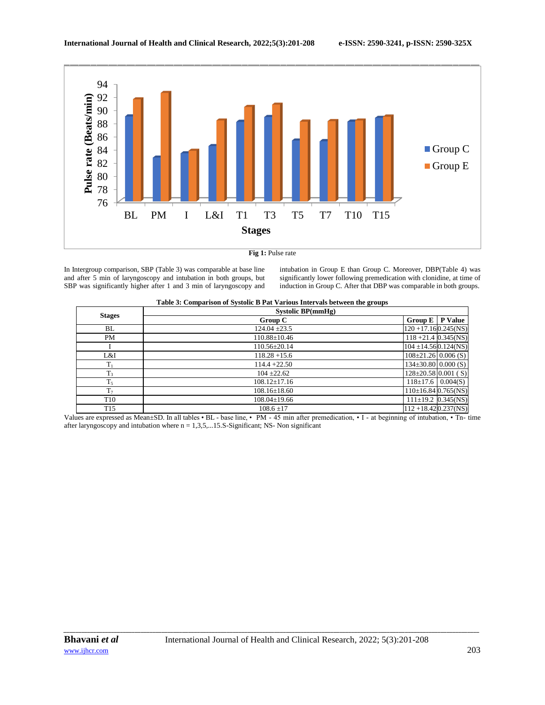

**Fig 1:** Pulse rate

In Intergroup comparison, SBP (Table 3) was comparable at base line and after 5 min of laryngoscopy and intubation in both groups, but SBP was significantly higher after 1 and 3 min of laryngoscopy and

intubation in Group E than Group C. Moreover, DBP(Table 4) was significantly lower following premedication with clonidine, at time of induction in Group C. After that DBP was comparable in both groups.

|                 | Systolic BP(mmHg)  |                                  |  |  |  |
|-----------------|--------------------|----------------------------------|--|--|--|
| <b>Stages</b>   | Group C            | <b>P</b> Value<br><b>Group E</b> |  |  |  |
| BL              | $124.04 \pm 23.5$  | $120 + 17.160.245$ (NS)          |  |  |  |
| <b>PM</b>       | $110.88 \pm 10.46$ | $118 + 21.4$ 0.345(NS)           |  |  |  |
|                 | $110.56 \pm 20.14$ | $104 \pm 14.560.124$ (NS)        |  |  |  |
| L&I             | $118.28 + 15.6$    | $108 \pm 21.26$ 0.006 (S)        |  |  |  |
| $T_1$           | $114.4 + 22.50$    | $134\pm30.80$ 0.000 (S)          |  |  |  |
| $T_3$           | $104 + 22.62$      | $128 \pm 20.58$ 0.001 (S)        |  |  |  |
| $T_5$           | $108.12 \pm 17.16$ | $118 \pm 17.6$ 0.004(S)          |  |  |  |
| $T_7$           | $108.16 \pm 18.60$ | $110\pm16.84$ 0.765(NS)          |  |  |  |
| T <sub>10</sub> | $108.04 \pm 19.66$ | $111 \pm 19.2$ 0.345(NS)         |  |  |  |
| T <sub>15</sub> | $108.6 + 17$       | $112 + 18.420.237(NS)$           |  |  |  |

Values are expressed as Mean±SD. In all tables • BL - base line, • PM - 45 min after premedication, • I - at beginning of intubation, • Tn- time after laryngoscopy and intubation where  $n = 1,3,5,...15$ . S-Significant; NS- Non significant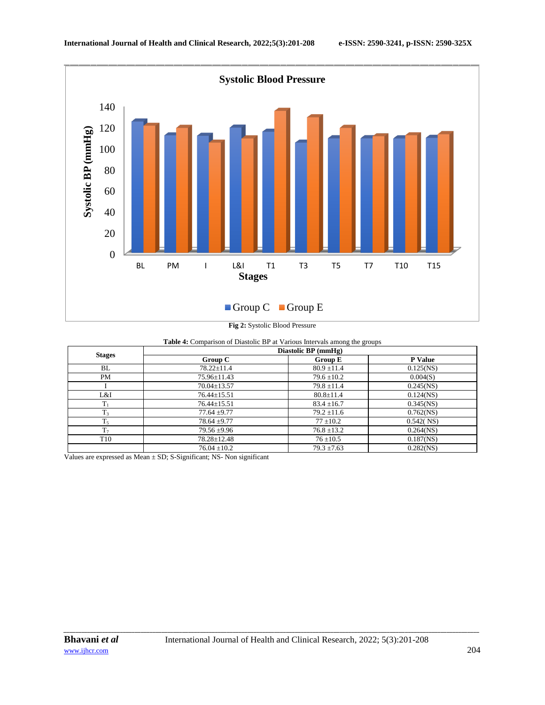

**Fig 2:** Systolic Blood Pressure

| Table 4: Comparison of Diastolic BP at Various Intervals among the groups |  |
|---------------------------------------------------------------------------|--|
|---------------------------------------------------------------------------|--|

|                 | Diastolic BP (mmHg) |                 |                |  |  |  |  |
|-----------------|---------------------|-----------------|----------------|--|--|--|--|
| <b>Stages</b>   | Group C             | <b>Group E</b>  | <b>P</b> Value |  |  |  |  |
| BL              | $78.22 \pm 11.4$    | $80.9 \pm 11.4$ | $0.125$ (NS)   |  |  |  |  |
| PM              | $75.96 \pm 11.43$   | $79.6 \pm 10.2$ | 0.004(S)       |  |  |  |  |
|                 | $70.04 \pm 13.57$   | $79.8 \pm 11.4$ | $0.245$ (NS)   |  |  |  |  |
| L&I             | $76.44 \pm 15.51$   | $80.8 \pm 11.4$ | $0.124$ (NS)   |  |  |  |  |
| $T_1$           | $76.44 \pm 15.51$   | $83.4 \pm 16.7$ | $0.345$ (NS)   |  |  |  |  |
| $T_3$           | $77.64 \pm 9.77$    | $79.2 \pm 11.6$ | $0.762$ (NS)   |  |  |  |  |
| $T_5$           | $78.64 \pm 9.77$    | $77 \pm 10.2$   | 0.542(NS)      |  |  |  |  |
| T <sub>7</sub>  | $79.56 \pm 9.96$    | $76.8 \pm 13.2$ | $0.264$ (NS)   |  |  |  |  |
| T <sub>10</sub> | $78.28 \pm 12.48$   | $76 + 10.5$     | $0.187$ (NS)   |  |  |  |  |
|                 | $76.04 \pm 10.2$    | $79.3 \pm 7.63$ | $0.282$ (NS)   |  |  |  |  |

Values are expressed as Mean  $\pm$  SD; S-Significant; NS- Non significant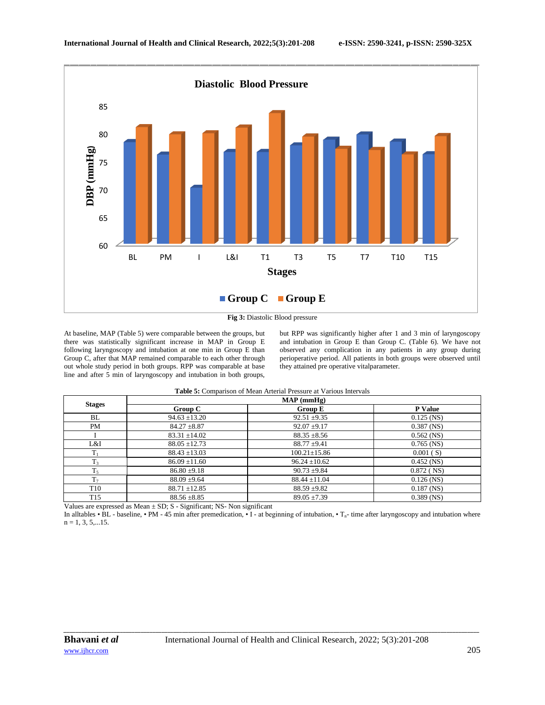

At baseline, MAP (Table 5) were comparable between the groups, but there was statistically significant increase in MAP in Group E following laryngoscopy and intubation at one min in Group E than Group C, after that MAP remained comparable to each other through out whole study period in both groups. RPP was comparable at base line and after 5 min of laryngoscopy and intubation in both groups,

but RPP was significantly higher after 1 and 3 min of laryngoscopy and intubation in Group E than Group C. (Table 6). We have not observed any complication in any patients in any group during perioperative period. All patients in both groups were observed until they attained pre operative vitalparameter.

**Table 5:** Comparison of Mean Arterial Pressure at Various Intervals

|                 | $MAP$ (mmHg)      |                    |                |  |  |  |  |
|-----------------|-------------------|--------------------|----------------|--|--|--|--|
| <b>Stages</b>   | Group C           | <b>Group E</b>     | <b>P</b> Value |  |  |  |  |
| BL              | $94.63 \pm 13.20$ | $92.51 \pm 9.35$   | $0.125$ (NS)   |  |  |  |  |
| PM              | $84.27 \pm 8.87$  | $92.07 \pm 9.17$   | $0.387$ (NS)   |  |  |  |  |
|                 | $83.31 \pm 14.02$ | $88.35 \pm 8.56$   | $0.562$ (NS)   |  |  |  |  |
| L&I             | $88.05 \pm 12.73$ | $88.77 + 9.41$     | $0.765$ (NS)   |  |  |  |  |
| $T_1$           | $88.43 \pm 13.03$ | $100.21 \pm 15.86$ | 0.001(S)       |  |  |  |  |
| $T_3$           | $86.09 \pm 11.60$ | $96.24 \pm 10.62$  | $0.452$ (NS)   |  |  |  |  |
| T <sub>5</sub>  | $86.80 \pm 9.18$  | $90.73 \pm 9.84$   | $0.872$ (NS)   |  |  |  |  |
| T <sub>7</sub>  | $88.09 \pm 9.64$  | $88.44 \pm 11.04$  | $0.126$ (NS)   |  |  |  |  |
| T <sub>10</sub> | $88.71 \pm 12.85$ | $88.59 \pm 9.82$   | $0.187$ (NS)   |  |  |  |  |
| T <sub>15</sub> | $88.56 \pm 8.85$  | $89.05 \pm 7.39$   | $0.389$ (NS)   |  |  |  |  |

Values are expressed as Mean  $\pm$  SD; S - Significant; NS- Non significant

In alltables • BL - baseline, • PM - 45 min after premedication, • I - at beginning of intubation, •  $T_n$ - time after laryngoscopy and intubation where  $n = 1, 3, 5, \ldots 15$ .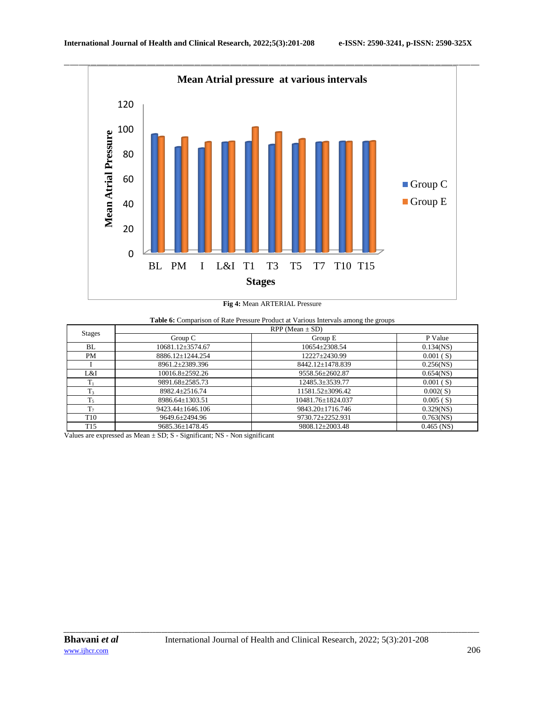

# **Fig 4:** Mean ARTERIAL Pressure

| Table 6: Comparison of Rate Pressure Product at Various Intervals among the groups |  |
|------------------------------------------------------------------------------------|--|
|------------------------------------------------------------------------------------|--|

| <b>Stages</b>   | $RPP$ (Mean $\pm$ SD) |                     |              |  |  |  |  |
|-----------------|-----------------------|---------------------|--------------|--|--|--|--|
|                 | Group $C$             | Group E             | P Value      |  |  |  |  |
| BL              | 10681.12±3574.67      | $10654 \pm 2308.54$ | $0.134$ (NS) |  |  |  |  |
| PM              | 8886.12±1244.254      | 12227±2430.99       | 0.001(S)     |  |  |  |  |
|                 | 8961.2±2389.396       | 8442.12±1478.839    | $0.256$ (NS) |  |  |  |  |
| L&I             | $10016.8 \pm 2592.26$ | 9558.56±2602.87     | $0.654$ (NS) |  |  |  |  |
| $T_1$           | 9891.68±2585.73       | 12485.3±3539.77     | 0.001(S)     |  |  |  |  |
| T <sub>3</sub>  | 8982.4+2516.74        | 11581.52±3096.42    | 0.002(S)     |  |  |  |  |
| $T_5$           | 8986.64±1303.51       | 10481.76±1824.037   | 0.005(S)     |  |  |  |  |
| T <sub>7</sub>  | 9423.44±1646.106      | 9843.20±1716.746    | $0.329$ (NS) |  |  |  |  |
| T <sub>10</sub> | 9649.6±2494.96        | 9730.72±2252.931    | $0.763$ (NS) |  |  |  |  |
| T <sub>15</sub> | 9685.36+1478.45       | 9808.12+2003.48     | $0.465$ (NS) |  |  |  |  |

Values are expressed as Mean ± SD; S - Significant; NS - Non significant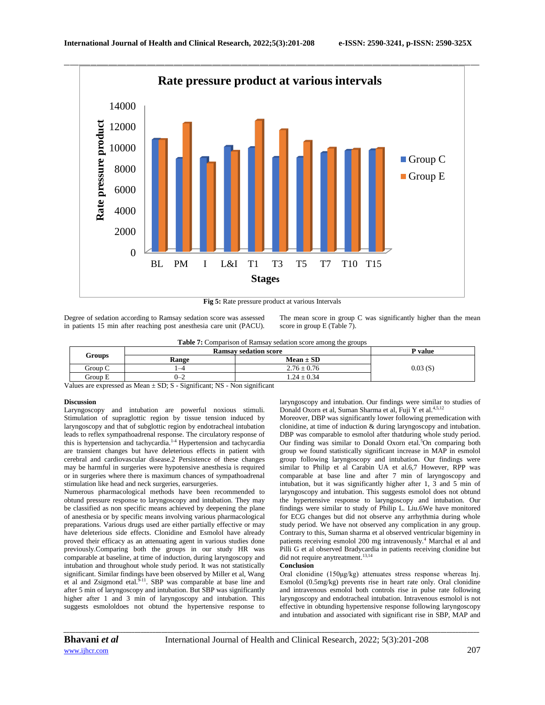

**Fig 5:** Rate pressure product at various Intervals

Degree of sedation according to Ramsay sedation score was assessed in patients 15 min after reaching post anesthesia care unit (PACU). The mean score in group C was significantly higher than the mean score in group E (Table 7).

|  |  |  |  |  | <b>Table 7:</b> Comparison of Ramsay sedation score among the groups |  |
|--|--|--|--|--|----------------------------------------------------------------------|--|
|  |  |  |  |  |                                                                      |  |

|         | <b>Ramsay sedation score</b> |                 | P value |
|---------|------------------------------|-----------------|---------|
|         | Range                        | $Mean \pm SD$   |         |
| Group C | $-4$                         | $2.76 \pm 0.76$ | 0.03(S) |
| Group E | $0 - 2$                      | $.24 \pm 0.34$  |         |
|         | <b>Groups</b>                |                 |         |

Values are expressed as Mean  $\pm$  SD; S - Significant; NS - Non significant

### **Discussion**

Laryngoscopy and intubation are powerful noxious stimuli. Stimulation of supraglottic region by tissue tension induced by laryngoscopy and that of subglottic region by endotracheal intubation leads to reflex sympathoadrenal response. The circulatory response of this is hypertension and tachycardia.<sup>1-4</sup> Hypertension and tachycardia are transient changes but have deleterious effects in patient with cerebral and cardiovascular disease.2 Persistence of these changes may be harmful in surgeries were hypotensive anesthesia is required or in surgeries where there is maximum chances of sympathoadrenal stimulation like head and neck surgeries, earsurgeries.

Numerous pharmacological methods have been recommended to obtund pressure response to laryngoscopy and intubation. They may be classified as non specific means achieved by deepening the plane of anesthesia or by specific means involving various pharmacological preparations. Various drugs used are either partially effective or may have deleterious side effects. Clonidine and Esmolol have already proved their efficacy as an attenuating agent in various studies done previously.Comparing both the groups in our study HR was comparable at baseline, at time of induction, during laryngoscopy and intubation and throughout whole study period. It was not statistically significant. Similar findings have been observed by Miller et al, Wang et al and Zsigmond etal.<sup>9-11</sup>. SBP was comparable at base line and after 5 min of laryngoscopy and intubation. But SBP was significantly higher after 1 and 3 min of laryngoscopy and intubation. This suggests esmololdoes not obtund the hypertensive response to

laryngoscopy and intubation. Our findings were similar to studies of Donald Oxorn et al, Suman Sharma et al, Fuji Y et al.<sup>4,5,12</sup>

Moreover, DBP was significantly lower following premedication with clonidine, at time of induction & during laryngoscopy and intubation. DBP was comparable to esmolol after thatduring whole study period. Our finding was similar to Donald Oxorn etal.<sup>5</sup>On comparing both group we found statistically significant increase in MAP in esmolol group following laryngoscopy and intubation. Our findings were similar to Philip et al Carabin UA et al.6,7 However, RPP was comparable at base line and after 7 min of laryngoscopy and intubation, but it was significantly higher after 1, 3 and 5 min of laryngoscopy and intubation. This suggests esmolol does not obtund the hypertensive response to laryngoscopy and intubation. Our findings were similar to study of Philip L. Liu.6We have monitored for ECG changes but did not observe any arrhythmia during whole study period. We have not observed any complication in any group. Contrary to this, Suman sharma et al observed ventricular bigeminy in patients receiving esmolol 200 mg intravenously.<sup>4</sup> Marchal et al and Pilli G et al observed Bradycardia in patients receiving clonidine but did not require anytreatment.<sup>13,14</sup>

### **Conclusion**

Oral clonidine (150μg/kg) attenuates stress response whereas Inj. Esmolol (0.5mg/kg) prevents rise in heart rate only. Oral clonidine and intravenous esmolol both controls rise in pulse rate following laryngoscopy and endotracheal intubation. Intravenous esmolol is not effective in obtunding hypertensive response following laryngoscopy and intubation and associated with significant rise in SBP, MAP and